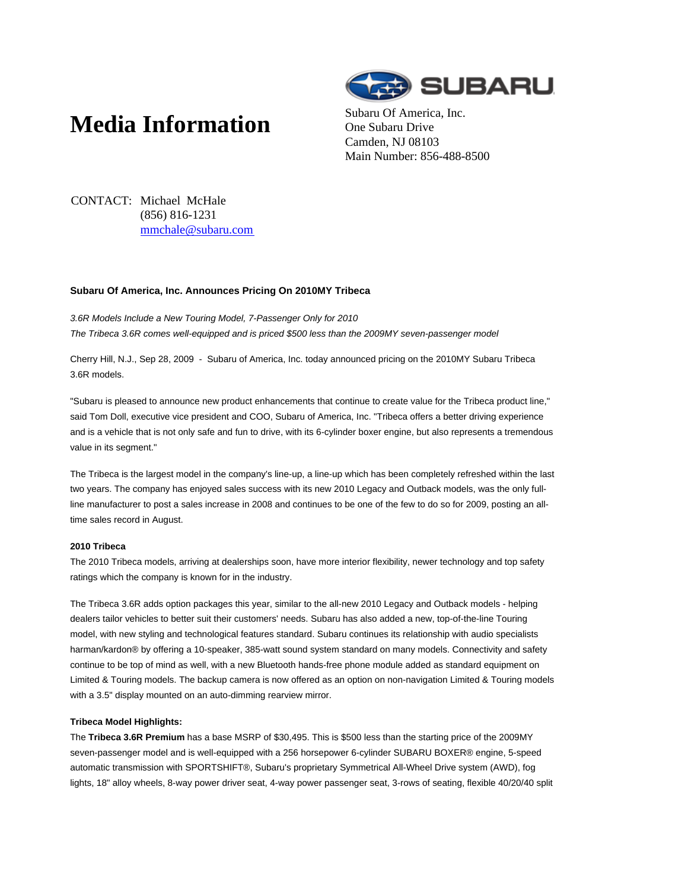# **Media Information** Subaru Of America, Inc.



One Subaru Drive Camden, NJ 08103 Main Number: 856-488-8500

CONTACT: Michael McHale (856) 816-1231 mmchale@subaru.com

### **Subaru Of America, Inc. Announces Pricing On 2010MY Tribeca**

3.6R Models Include a New Touring Model, 7-Passenger Only for 2010 The Tribeca 3.6R comes well-equipped and is priced \$500 less than the 2009MY seven-passenger model

Cherry Hill, N.J., Sep 28, 2009 - Subaru of America, Inc. today announced pricing on the 2010MY Subaru Tribeca 3.6R models.

"Subaru is pleased to announce new product enhancements that continue to create value for the Tribeca product line," said Tom Doll, executive vice president and COO, Subaru of America, Inc. "Tribeca offers a better driving experience and is a vehicle that is not only safe and fun to drive, with its 6-cylinder boxer engine, but also represents a tremendous value in its segment."

The Tribeca is the largest model in the company's line-up, a line-up which has been completely refreshed within the last two years. The company has enjoyed sales success with its new 2010 Legacy and Outback models, was the only fullline manufacturer to post a sales increase in 2008 and continues to be one of the few to do so for 2009, posting an alltime sales record in August.

## **2010 Tribeca**

The 2010 Tribeca models, arriving at dealerships soon, have more interior flexibility, newer technology and top safety ratings which the company is known for in the industry.

The Tribeca 3.6R adds option packages this year, similar to the all-new 2010 Legacy and Outback models - helping dealers tailor vehicles to better suit their customers' needs. Subaru has also added a new, top-of-the-line Touring model, with new styling and technological features standard. Subaru continues its relationship with audio specialists harman/kardon® by offering a 10-speaker, 385-watt sound system standard on many models. Connectivity and safety continue to be top of mind as well, with a new Bluetooth hands-free phone module added as standard equipment on Limited & Touring models. The backup camera is now offered as an option on non-navigation Limited & Touring models with a 3.5" display mounted on an auto-dimming rearview mirror.

#### **Tribeca Model Highlights:**

The **Tribeca 3.6R Premium** has a base MSRP of \$30,495. This is \$500 less than the starting price of the 2009MY seven-passenger model and is well-equipped with a 256 horsepower 6-cylinder SUBARU BOXER® engine, 5-speed automatic transmission with SPORTSHIFT®, Subaru's proprietary Symmetrical All-Wheel Drive system (AWD), fog lights, 18" alloy wheels, 8-way power driver seat, 4-way power passenger seat, 3-rows of seating, flexible 40/20/40 split